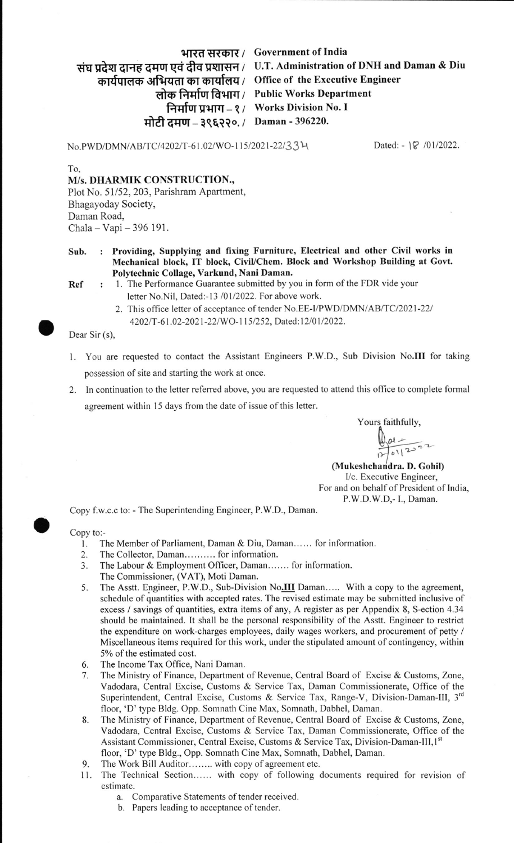## भारत सरकार / Government of India

संघ प्रदेश दानह दमण एवं दीव प्रशासन / U.T. Administration of DNH and Daman & Diu

द्भगवन्दि अभियता का कार्यालय / Office of the Executive Engineer

लोक निर्माण विभाग / Public Works Department निर्माण प्रभाग – १ / Works Division No. I

मोटी दमण – ३९६२२०. / Daman - 396220.

No.PWD/DMN/AB/TC/4202/T-61.02/WO-115/2021-22/33 $\forall$  Dated: - l\extin 101/2022.

To,

M/s. DHARMIK CONSTRUCTION., Plot No. 51/52, 203, Parishram Apartment, Bhagayoday Society, Daman Road, Chala - Vapi - 396 191.

Sub. : Providing, Supplying and fixing Furniture, Electrical and other Civil works in Mechanical block, IT block, Civil/Chem. Block and Workshop Building at Govt. Polytechnic Collage, Varkund, Nani Daman.

- <sup>I</sup>. The Performance Guarantee submitted by you in form of the FDR vide your letter No.Nil, Dated:-13 /01/2022. For above work. Ref
	- 2. This office letter of acceptance of tender No.EE-I/PWD/DMN/AB/TC/2021-22/ 4202/T-61.02-2021-22/WO-115/252, Dated:12/01/2022.

Dear Sir (s),

o

o

- <sup>I</sup>. You are requested to contact the Assistant Engineers P.W.D., Sub Division No.III for taking possession of site and starting the work at once.
- 2. ln continuation to the letter referred above, you are requested to attend this office to complete formal agreement within 15 days from the date of issue of this letter.

Yours faithfully,

 $\sqrt{1^2}$  $\mathcal{F}$ 

(Mukeshchandra. D. Gohil) l/c. Executive Engineer, For and on behalf of President of India, P.W.D.W.D,- I., Daman.

Copy f.w.c.c to: - The Superintending Engineer, P.W.D., Daman.

Copy to

- The Member of Parliament, Daman & Diu, Daman...... for information. l.
- The Collector, Daman.......... for information. 2.
- The Labour & Employment Officer, Daman....... for information. 3.
- The Commissioner, (VAT), Moti Daman.
- The Asstt. Engineer, P.W.D., Sub-Division No.III Daman..... With a copy to the agreement, schedule of quantities with accepted rates. The revised estimate may be submitted inclusive of excess / savings of quantities, extra items of any, A register as per Appendix 8, S-ection 4.34 should be maintained. It shall be the personal responsibility of the Asstt. Engineer to restrict the expenditure on work-charges employees, daily wages workers, and procurement of petty / Miscellaneous items required for this work, under the stipulated amount of contingency, within 5% of the estimated cost. 5
- The lncome Tax Office, Nani Daman. 6
- The Ministry of Finance, Department of Revenue, Central Board of Excise & Customs, Zone, Vadodara, Central Excise, Customs & Service Tax, Daman Commissionerate, Office of the Superintendent, Central Excise, Customs & Service Tax, Range-V, Division-Daman-III, 3<sup>rd</sup> floor, 'D' type Bldg. Opp. Somnath Cine Max, Somnath, Dabhel, Daman. 7
- The Ministry of Finance, Department of Revenue, Central Board of Excise & Customs, Zone, Vadodara, Central Excise, Customs & Service Tax, Daman Commissionerate, Office of the Assistant Commissioner, Central Excise, Customs & Service Tax, Division-Daman-III,1<sup>st</sup> floor, 'D' type Bldg., Opp. Somnath Cine Max, Somnath, Dabhel, Daman. 8
- The Work Bill Auditor........ with copy of agreement etc. 9.
- 11. The Technical Section...... with copy of following documents required for revision of estimate.
	- a. Comparative Statements of tender received.
	- b. Papers leading to acceptance of tender.